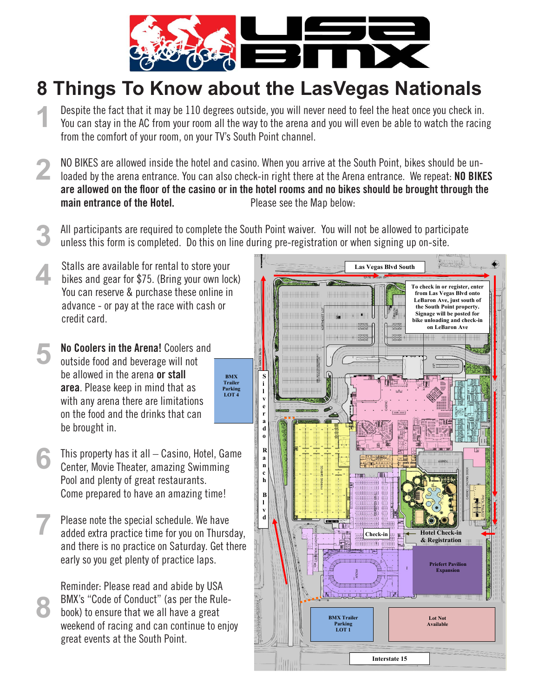

## **8 Things To Know about the LasVegas Nationals**

- **1** Despite the fact that it may be 110 degrees outside, you will never need to feel the heat once you check in. You can stay in the AC from your room all the way to the arena and you will even be able to watch the racing from the comfort of your room, on your TV's South Point channel.
- **2** NO BIKES are allowed inside the hotel and casino. When you arrive at the South Point, bikes should be unloaded by the arena entrance. You can also check-in right there at the Arena entrance. We repeat: NO BIKES are allowed on the floor of the casino or in the hotel rooms and no bikes should be brought through the main entrance of the Hotel. **Please see the Map below:**
- **3** All participants are required to complete the South Point waiver. You will not be allowed to participate unless this form is completed. Do this on line during pre-registration or when signing up on-site.

 $BMX$ 

- **4** Stalls are available for rental to store your bikes and gear for \$75. (Bring your own lock) You can reserve & purchase these online in advance - or pay at the race with cash or credit card.
- **5** No Coolers in the Arena! Coolers and outside food and beverage will not be allowed in the arena or stall area. Please keep in mind that as with any arena there are limitations on the food and the drinks that can be brought in.
- **6** This property has it all – Casino, Hotel, Game Center, Movie Theater, amazing Swimming Pool and plenty of great restaurants. Come prepared to have an amazing time!
- **7** Please note the special schedule. We have added extra practice time for you on Thursday, and there is no practice on Saturday. Get there early so you get plenty of practice laps.

Reminder: Please read and abide by USA BMX's "Code of Conduct" (as per the Rulebook) to ensure that we all have a great weekend of racing and can continue to enjoy great events at the South Point.

**8**